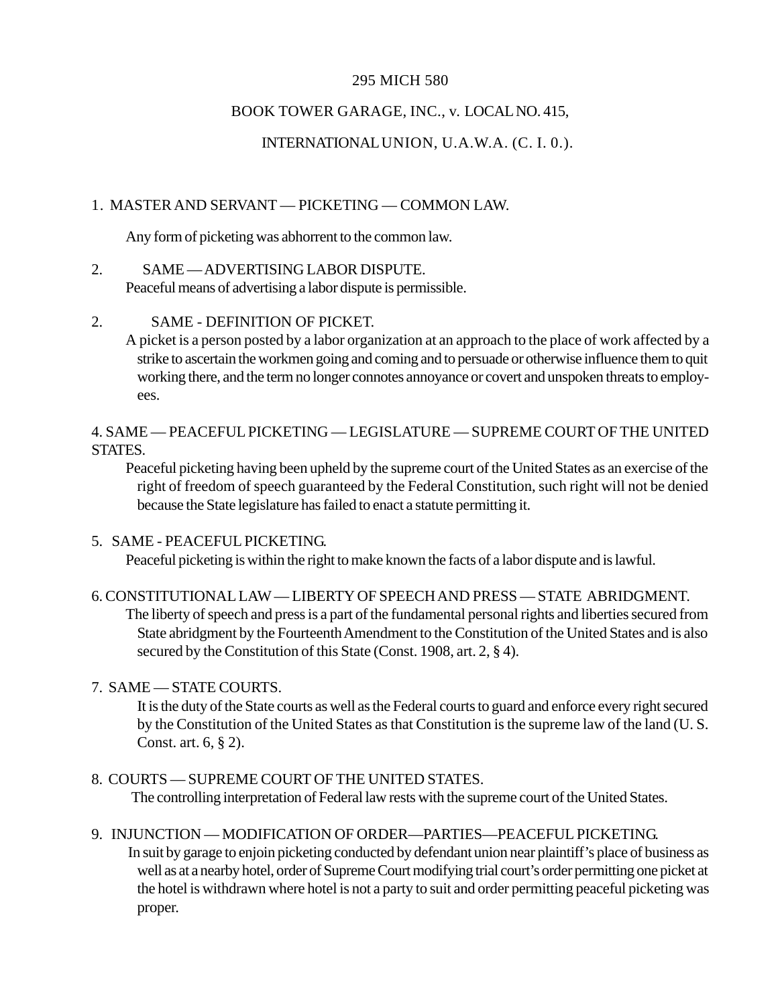#### 295 MICH 580

# BOOK TOWER GARAGE, INC., v. LOCAL NO. 415,

# INTERNATIONAL UNION, U.A.W.A. (C. I. 0.).

# 1. MASTER AND SERVANT — PICKETING — COMMON LAW.

Any form of picketing was abhorrent to the common law.

#### 2. SAME — ADVERTISING LABOR DISPUTE.

Peaceful means of advertising a labor dispute is permissible.

## 2. SAME - DEFINITION OF PICKET.

A picket is a person posted by a labor organization at an approach to the place of work affected by a strike to ascertain the workmen going and coming and to persuade or otherwise influence them to quit working there, and the term no longer connotes annoyance or covert and unspoken threats to employees.

4. SAME — PEACEFUL PICKETING — LEGISLATURE — SUPREME COURT OF THE UNITED STATES.

Peaceful picketing having been upheld by the supreme court of the United States as an exercise of the right of freedom of speech guaranteed by the Federal Constitution, such right will not be denied because the State legislature has failed to enact a statute permitting it.

5. SAME - PEACEFUL PICKETING.

Peaceful picketing is within the right to make known the facts of a labor dispute and is lawful.

## 6. CONSTITUTIONAL LAW — LIBERTY OF SPEECH AND PRESS — STATE ABRIDGMENT. The liberty of speech and press is a part of the fundamental personal rights and liberties secured from State abridgment by the Fourteenth Amendment to the Constitution of the United States and is also secured by the Constitution of this State (Const. 1908, art. 2, § 4).

## 7. SAME — STATE COURTS.

It is the duty of the State courts as well as the Federal courts to guard and enforce every right secured by the Constitution of the United States as that Constitution is the supreme law of the land (U. S. Const. art. 6, § 2).

8. COURTS — SUPREME COURT OF THE UNITED STATES. The controlling interpretation of Federal law rests with the supreme court of the United States.

## 9. INJUNCTION — MODIFICATION OF ORDER—PARTIES—PEACEFUL PICKETING.

In suit by garage to enjoin picketing conducted by defendant union near plaintiff's place of business as well as at a nearby hotel, order of Supreme Court modifying trial court's order permitting one picket at the hotel is withdrawn where hotel is not a party to suit and order permitting peaceful picketing was proper.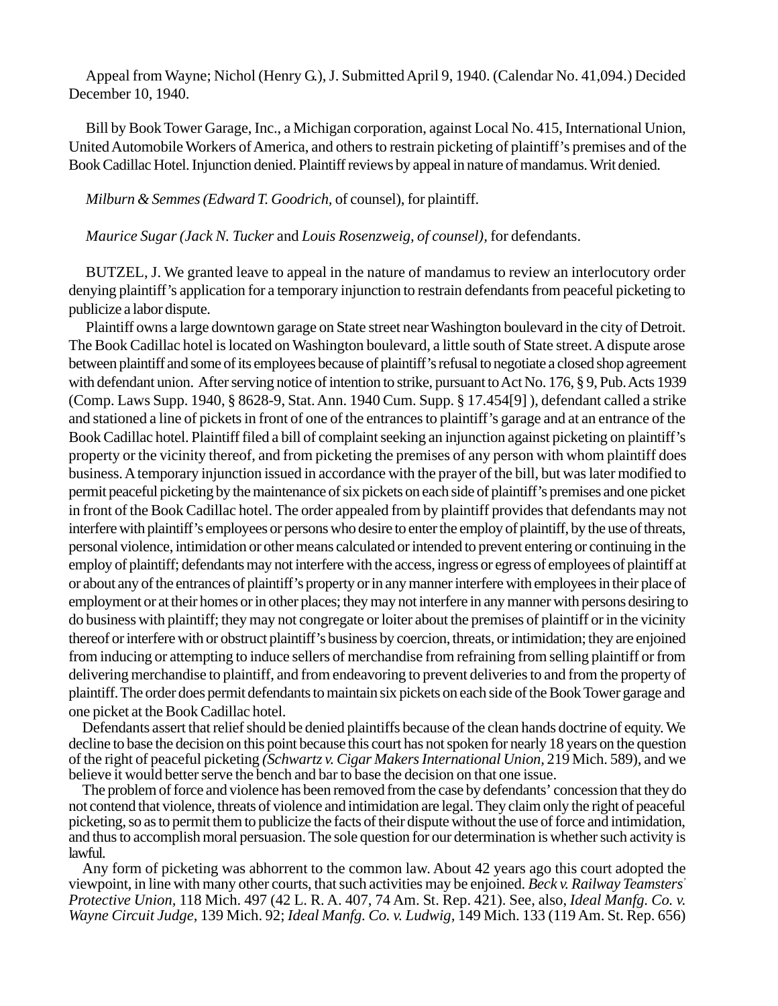Appeal from Wayne; Nichol (Henry G.), J. Submitted April 9, 1940. (Calendar No. 41,094.) Decided December 10, 1940.

Bill by Book Tower Garage, Inc., a Michigan corporation, against Local No. 415, International Union, United Automobile Workers of America, and others to restrain picketing of plaintiff's premises and of the Book Cadillac Hotel. Injunction denied. Plaintiff reviews by appeal in nature of mandamus. Writ denied.

*Milburn & Semmes (Edward T. Goodrich,* of counsel), for plaintiff.

*Maurice Sugar (Jack N. Tucker* and *Louis Rosenzweig, of counsel),* for defendants.

BUTZEL, J. We granted leave to appeal in the nature of mandamus to review an interlocutory order denying plaintiff's application for a temporary injunction to restrain defendants from peaceful picketing to publicize a labor dispute.

Plaintiff owns a large downtown garage on State street near Washington boulevard in the city of Detroit. The Book Cadillac hotel is located on Washington boulevard, a little south of State street. A dispute arose between plaintiff and some of its employees because of plaintiff's refusal to negotiate a closed shop agreement with defendant union. After serving notice of intention to strike, pursuant to Act No. 176, § 9, Pub. Acts 1939 (Comp. Laws Supp. 1940, § 8628-9, Stat. Ann. 1940 Cum. Supp. § 17.454[9] ), defendant called a strike and stationed a line of pickets in front of one of the entrances to plaintiff's garage and at an entrance of the Book Cadillac hotel. Plaintiff filed a bill of complaint seeking an injunction against picketing on plaintiff's property or the vicinity thereof, and from picketing the premises of any person with whom plaintiff does business. A temporary injunction issued in accordance with the prayer of the bill, but was later modified to permit peaceful picketing by the maintenance of six pickets on each side of plaintiff's premises and one picket in front of the Book Cadillac hotel. The order appealed from by plaintiff provides that defendants may not interfere with plaintiff's employees or persons who desire to enter the employ of plaintiff, by the use of threats, personal violence, intimidation or other means calculated or intended to prevent entering or continuing in the employ of plaintiff; defendants may not interfere with the access, ingress or egress of employees of plaintiff at or about any of the entrances of plaintiff's property or in any manner interfere with employees in their place of employment or at their homes or in other places; they may not interfere in any manner with persons desiring to do business with plaintiff; they may not congregate or loiter about the premises of plaintiff or in the vicinity thereof or interfere with or obstruct plaintiff's business by coercion, threats, or intimidation; they are enjoined from inducing or attempting to induce sellers of merchandise from refraining from selling plaintiff or from delivering merchandise to plaintiff, and from endeavoring to prevent deliveries to and from the property of plaintiff. The order does permit defendants to maintain six pickets on each side of the Book Tower garage and one picket at the Book Cadillac hotel.

Defendants assert that relief should be denied plaintiffs because of the clean hands doctrine of equity. We decline to base the decision on this point because this court has not spoken for nearly 18 years on the question of the right of peaceful picketing *(Schwartz v. Cigar Makers International Union,* 219 Mich. 589), and we believe it would better serve the bench and bar to base the decision on that one issue.

The problem of force and violence has been removed from the case by defendants' concession that they do not contend that violence, threats of violence and intimidation are legal. They claim only the right of peaceful picketing, so as to permit them to publicize the facts of their dispute without the use of force and intimidation, and thus to accomplish moral persuasion. The sole question for our determination is whether such activity is lawful.

Any form of picketing was abhorrent to the common law. About 42 years ago this court adopted the viewpoint, in line with many other courts, that such activities may be enjoined. *Beck v. Railway Teamsters' Protective Union,* 118 Mich. 497 (42 L. R. A. 407, 74 Am. St. Rep. 421). See, also, *Ideal Manfg. Co. v. Wayne Circuit Judge,* 139 Mich. 92; *Ideal Manfg. Co. v. Ludwig,* 149 Mich. 133 (119 Am. St. Rep. 656)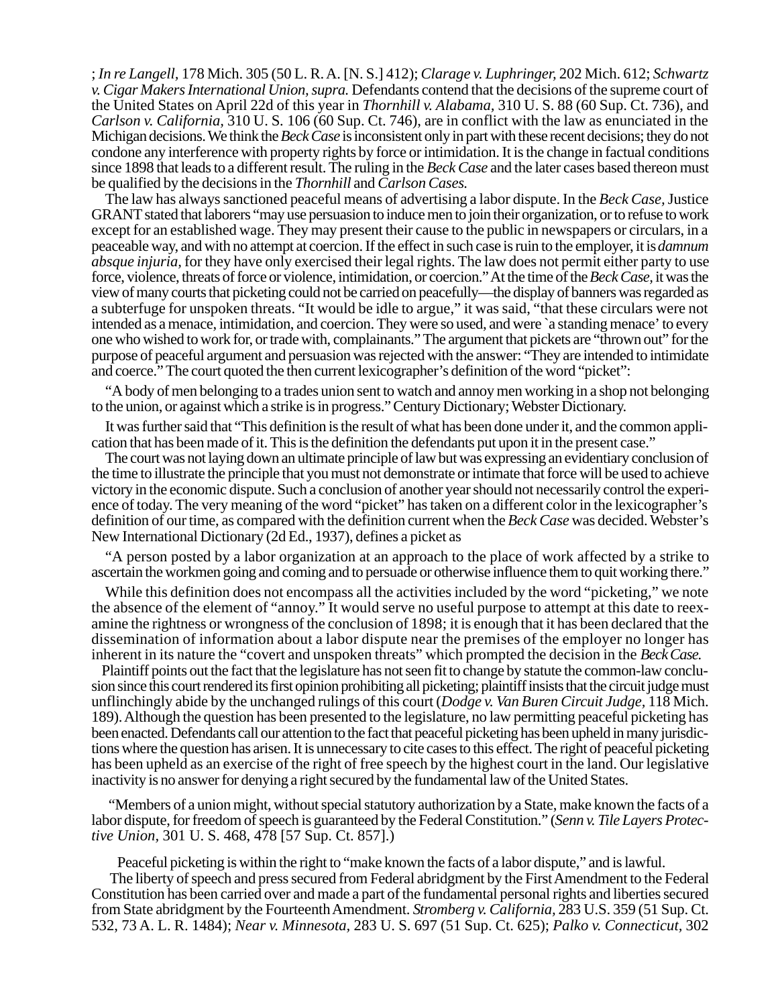; *In re Langell,* 178 Mich. 305 (50 L. R. A. [N. S.] 412); *Clarage v. Luphringer,* 202 Mich. 612; *Schwartz v. Cigar Makers International Union, supra.* Defendants contend that the decisions of the supreme court of the United States on April 22d of this year in *Thornhill v. Alabama,* 310 U. S. 88 (60 Sup. Ct. 736), and *Carlson v. California,* 310 U. S*.* 106 (60 Sup. Ct. 746), are in conflict with the law as enunciated in the Michigan decisions. We think the *Beck Case* isinconsistent only in part with these recent decisions; they do not condone any interference with property rights by force or intimidation. It is the change in factual conditions since 1898 that leads to a different result. The ruling in the *Beck Case* and the later cases based thereon must be qualified by the decisions in the *Thornhill* and *Carlson Cases.*

The law has always sanctioned peaceful means of advertising a labor dispute. In the *Beck Case,* Justice GRANT stated that laborers "may use persuasion to induce men to join their organization, or to refuse to work except for an established wage. They may present their cause to the public in newspapers or circulars, in a peaceable way, and with no attempt at coercion. If the effect in such case is ruin to the employer, it is *damnum absque injuria,* for they have only exercised their legal rights. The law does not permit either party to use force, violence, threats of force or violence, intimidation, or coercion." At the time of the *Beck Case,* it was the view of many courts that picketing could not be carried on peacefully—the display of banners was regarded as a subterfuge for unspoken threats. "It would be idle to argue," it was said, "that these circulars were not intended as a menace, intimidation, and coercion. They were so used, and were `a standing menace' to every one who wished to work for, or trade with, complainants." The argument that pickets are "thrown out" for the purpose of peaceful argument and persuasion was rejected with the answer: "They are intended to intimidate and coerce." The court quoted the then current lexicographer's definition of the word "picket":

"A body of men belonging to a trades union sent to watch and annoy men working in a shop not belonging to the union, or against which a strike is in progress." Century Dictionary; Webster Dictionary.

It was further said that "This definition is the result of what has been done under it, and the common application that has been made of it. This is the definition the defendants put upon it in the present case."

The court was not laying down an ultimate principle of law but was expressing an evidentiary conclusion of the time to illustrate the principle that you must not demonstrate or intimate that force will be used to achieve victory in the economic dispute. Such a conclusion of another year should not necessarily control the experience of today. The very meaning of the word "picket" has taken on a different color in the lexicographer's definition of our time, as compared with the definition current when the *Beck Case* was decided. Webster's New International Dictionary (2d Ed., 1937), defines a picket as

"A person posted by a labor organization at an approach to the place of work affected by a strike to ascertain the workmen going and coming and to persuade or otherwise influence them to quit working there."

While this definition does not encompass all the activities included by the word "picketing," we note the absence of the element of "annoy." It would serve no useful purpose to attempt at this date to reexamine the rightness or wrongness of the conclusion of 1898; it is enough that it has been declared that the dissemination of information about a labor dispute near the premises of the employer no longer has inherent in its nature the "covert and unspoken threats" which prompted the decision in the *Beck Case.*

 Plaintiff points out the fact that the legislature has not seen fit to change by statute the common-law conclusion since this court rendered its first opinion prohibiting all picketing; plaintiff insists that the circuit judge must unflinchingly abide by the unchanged rulings of this court (*Dodge v. Van Buren Circuit Judge,* 118 Mich. 189). Although the question has been presented to the legislature, no law permitting peaceful picketing has been enacted. Defendants call our attention to the fact that peaceful picketing has been upheld in many jurisdictions where the question has arisen. It is unnecessary to cite cases to this effect. The right of peaceful picketing has been upheld as an exercise of the right of free speech by the highest court in the land. Our legislative inactivity is no answer for denying a right secured by the fundamental law of the United States.

"Members of a union might, without special statutory authorization by a State, make known the facts of a labor dispute, for freedom of speech is guaranteed by the Federal Constitution." (*Senn v. Tile Layers Protective Union,* 301 U. S. 468, 478 [57 Sup. Ct. 857].)

Peaceful picketing is within the right to "make known the facts of a labor dispute," and is lawful.

The liberty of speech and press secured from Federal abridgment by the First Amendment to the Federal Constitution has been carried over and made a part of the fundamental personal rights and liberties secured from State abridgment by the Fourteenth Amendment. *Stromberg v. California,* 283 U.S. 359 (51 Sup. Ct. 532, 73 A. L. R. 1484); *Near v. Minnesota,* 283 U. S. 697 (51 Sup. Ct. 625); *Palko v. Connecticut,* 302